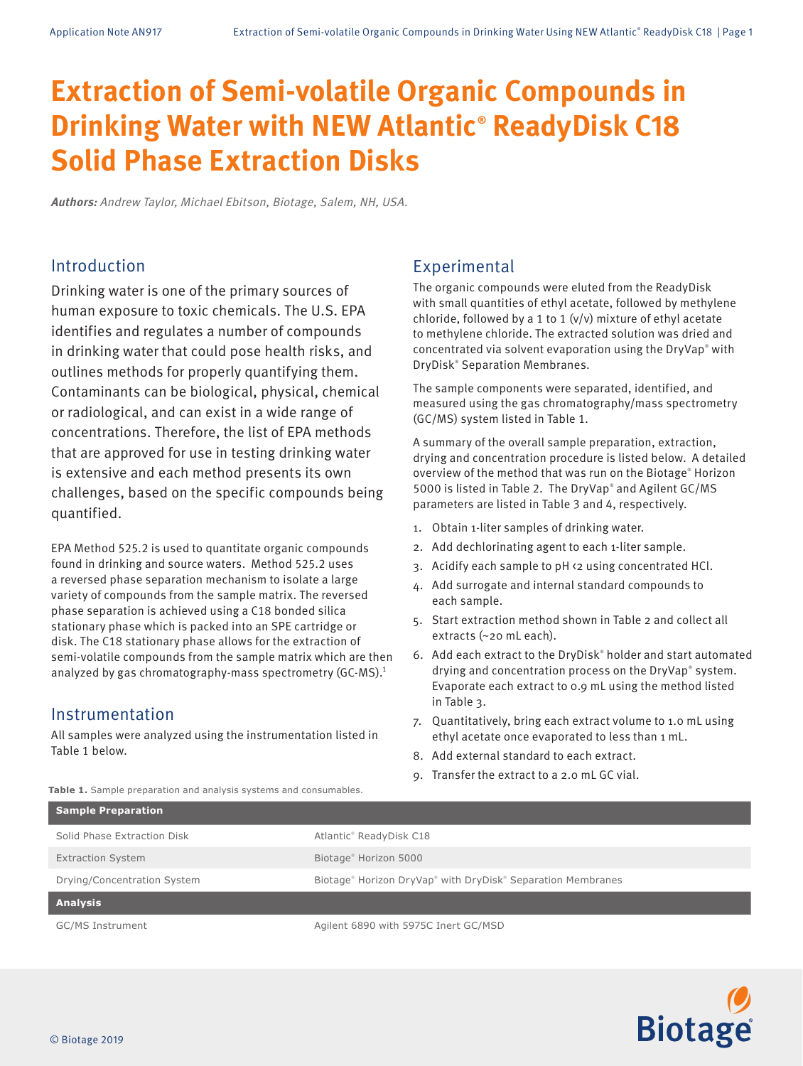# **Extraction of Semi-volatile Organic Compounds in Drinking Water with NEW Atlantic® ReadyDisk C18 Solid Phase Extraction Disks**

**Authors:** Andrew Taylor, Michael Ebitson, Biotage, Salem, NH, USA.

# Introduction

Drinking water is one of the primary sources of human exposure to toxic chemicals. The U.S. EPA identifies and regulates a number of compounds in drinking water that could pose health risks, and outlines methods for properly quantifying them. Contaminants can be biological, physical, chemical or radiological, and can exist in a wide range of concentrations. Therefore, the list of EPA methods that are approved for use in testing drinking water is extensive and each method presents its own challenges, based on the specific compounds being quantified.

EPA Method 525.2 is used to quantitate organic compounds found in drinking and source waters. Method 525.2 uses a reversed phase separation mechanism to isolate a large variety of compounds from the sample matrix. The reversed phase separation is achieved using a C18 bonded silica stationary phase which is packed into an SPE cartridge or disk. The C18 stationary phase allows for the extraction of semi-volatile compounds from the sample matrix which are then analyzed by gas chromatography-mass spectrometry (GC-MS).1

# Instrumentation

All samples were analyzed using the instrumentation listed in Table 1 below.

**Table 1.** Sample preparation and analysis systems and consumables.

# Experimental

The organic compounds were eluted from the ReadyDisk with small quantities of ethyl acetate, followed by methylene chloride, followed by a 1 to 1 (v/v) mixture of ethyl acetate to methylene chloride. The extracted solution was dried and concentrated via solvent evaporation using the DryVap® with DryDisk® Separation Membranes.

The sample components were separated, identified, and measured using the gas chromatography/mass spectrometry (GC/MS) system listed in Table 1.

A summary of the overall sample preparation, extraction, drying and concentration procedure is listed below. A detailed overview of the method that was run on the Biotage® Horizon 5000 is listed in Table 2. The DryVap® and Agilent GC/MS parameters are listed in Table 3 and 4, respectively.

- 1. Obtain 1-liter samples of drinking water.
- 2. Add dechlorinating agent to each 1-liter sample.
- 3. Acidify each sample to pH <2 using concentrated HCl.
- 4. Add surrogate and internal standard compounds to each sample.
- 5. Start extraction method shown in Table 2 and collect all extracts (~20 mL each).
- 6. Add each extract to the DryDisk® holder and start automated drying and concentration process on the DryVap® system. Evaporate each extract to 0.9 mL using the method listed in Table 3.
- 7. Quantitatively, bring each extract volume to 1.0 mL using ethyl acetate once evaporated to less than 1 mL.
- 8. Add external standard to each extract.
- 9. Transfer the extract to a 2.0 mL GC vial.

| Sample Preparation          |                                                             |
|-----------------------------|-------------------------------------------------------------|
| Solid Phase Extraction Disk | Atlantic® ReadyDisk C18                                     |
| <b>Extraction System</b>    | Biotage <sup>®</sup> Horizon 5000                           |
| Drying/Concentration System | Biotage® Horizon DryVap® with DryDisk® Separation Membranes |
| <b>Analysis</b>             |                                                             |
| GC/MS Instrument            | Agilent 6890 with 5975C Inert GC/MSD                        |

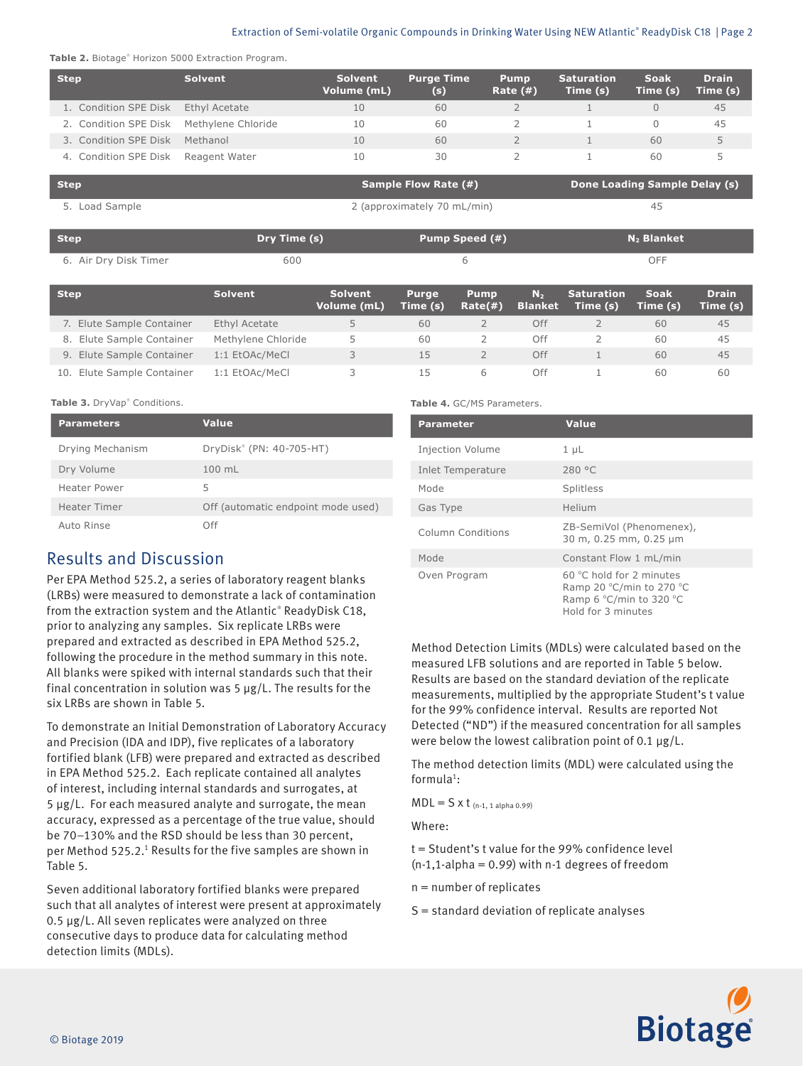### Extraction of Semi-volatile Organic Compounds in Drinking Water Using NEW Atlantic® ReadyDisk C18 | Page 2

| <b>Step</b>           | <b>Solvent</b>     | <b>Solvent</b><br>Volume (mL) | <b>Purge Time</b><br>(s)    | <b>Pump</b><br>Rate $(#)$ | <b>Saturation</b><br>Time (s) | <b>Soak</b><br>Time (s)       | <b>Drain</b><br>Time (s) |
|-----------------------|--------------------|-------------------------------|-----------------------------|---------------------------|-------------------------------|-------------------------------|--------------------------|
| 1. Condition SPE Disk | Ethyl Acetate      | 10                            | 60                          |                           |                               |                               | 45                       |
| 2. Condition SPE Disk | Methylene Chloride | 10                            | 60                          |                           |                               |                               | 45                       |
| 3. Condition SPE Disk | Methanol           | 10                            | 60                          |                           |                               | 60                            | 5                        |
| 4. Condition SPE Disk | Reagent Water      | 10                            | 30                          |                           |                               | 60                            | 5                        |
| <b>Step</b>           |                    |                               | <b>Sample Flow Rate (#)</b> |                           |                               | Done Loading Sample Delay (s) |                          |

| <b>PLEP</b>           |              | $3a$ of $100$ $100$ $100$   | <b>Done Loading Sample Delay (S)</b> |
|-----------------------|--------------|-----------------------------|--------------------------------------|
| 5. Load Sample        |              | 2 (approximately 70 mL/min) | 45                                   |
| <b>Step</b>           | Dry Time (s) | Pump Speed (#)              | $N_2$ Blanket                        |
| 6. Air Dry Disk Timer | 600          | h                           | OFF                                  |

| <b>Step</b>                   | <b>Solvent</b>     | <b>Solvent</b><br>Volume (mL) | <b>Purge</b><br>Time (s) | <b>Pump</b><br>Rate(#) | N <sub>2</sub><br><b>Blanket</b> | <b>Saturation</b><br>Time (s) | <b>Soak</b><br>Time (s) | <b>Drain</b><br>Time (s) |
|-------------------------------|--------------------|-------------------------------|--------------------------|------------------------|----------------------------------|-------------------------------|-------------------------|--------------------------|
| 7. Elute Sample Container     | Ethyl Acetate      |                               | 60                       |                        | Off                              |                               | 60                      | 45                       |
| 8. Elute Sample Container     | Methylene Chloride | 5.                            | 60                       |                        | Off                              |                               | 60                      | 45                       |
| 9. Elute Sample Container     | 1:1 EtOAc/MeCl     | ス                             | 15                       |                        | Off                              |                               | 60                      | 45                       |
| Elute Sample Container<br>10. | 1:1 EtOAc/MeCl     |                               | 15                       | 6                      | Off                              |                               | 60                      | 60                       |

### **Table 3.** DryVap® Conditions.

| <b>Parameters</b>   | <b>Value</b>                       |
|---------------------|------------------------------------|
| Drying Mechanism    | DryDisk® (PN: 40-705-HT)           |
| Dry Volume          | 100 mL                             |
| <b>Heater Power</b> | 5                                  |
| <b>Heater Timer</b> | Off (automatic endpoint mode used) |
| Auto Rinse          | ∩ff                                |

## Results and Discussion

Per EPA Method 525.2, a series of laboratory reagent blanks (LRBs) were measured to demonstrate a lack of contamination from the extraction system and the Atlantic® ReadyDisk C18, prior to analyzing any samples. Six replicate LRBs were prepared and extracted as described in EPA Method 525.2, following the procedure in the method summary in this note. All blanks were spiked with internal standards such that their final concentration in solution was  $5 \mu g/L$ . The results for the six LRBs are shown in Table 5.

To demonstrate an Initial Demonstration of Laboratory Accuracy and Precision (IDA and IDP), five replicates of a laboratory fortified blank (LFB) were prepared and extracted as described in EPA Method 525.2. Each replicate contained all analytes of interest, including internal standards and surrogates, at 5 µg/L. For each measured analyte and surrogate, the mean accuracy, expressed as a percentage of the true value, should be 70–130% and the RSD should be less than 30 percent, per Method 525.2.<sup>1</sup> Results for the five samples are shown in Table 5.

Seven additional laboratory fortified blanks were prepared such that all analytes of interest were present at approximately 0.5 µg/L. All seven replicates were analyzed on three consecutive days to produce data for calculating method detection limits (MDLs).

### **Table 4.** GC/MS Parameters.

| <b>Parameter</b>         | Value                                                                                                   |
|--------------------------|---------------------------------------------------------------------------------------------------------|
| <b>Injection Volume</b>  | $1 \mu L$                                                                                               |
| <b>Inlet Temperature</b> | 280 °C                                                                                                  |
| Mode                     | Splitless                                                                                               |
| Gas Type                 | Helium                                                                                                  |
| Column Conditions        | ZB-SemiVol (Phenomenex),<br>30 m, 0.25 mm, 0.25 µm                                                      |
| Mode                     | Constant Flow 1 mL/min                                                                                  |
| Oven Program             | $60 °C$ hold for 2 minutes<br>Ramp 20 °C/min to 270 °C<br>Ramp 6 °C/min to 320 °C<br>Hold for 3 minutes |

Method Detection Limits (MDLs) were calculated based on the measured LFB solutions and are reported in Table 5 below. Results are based on the standard deviation of the replicate measurements, multiplied by the appropriate Student's t value for the 99% confidence interval. Results are reported Not Detected ("ND") if the measured concentration for all samples were below the lowest calibration point of 0.1 µg/L.

The method detection limits (MDL) were calculated using the formula $^1$ :

 $MDL = S \times t$  (n-1, 1 alpha 0.99)

Where:

t = Student's t value for the 99% confidence level  $(n-1,1-alpha)$  = 0.99) with n-1 degrees of freedom

n = number of replicates

S = standard deviation of replicate analyses

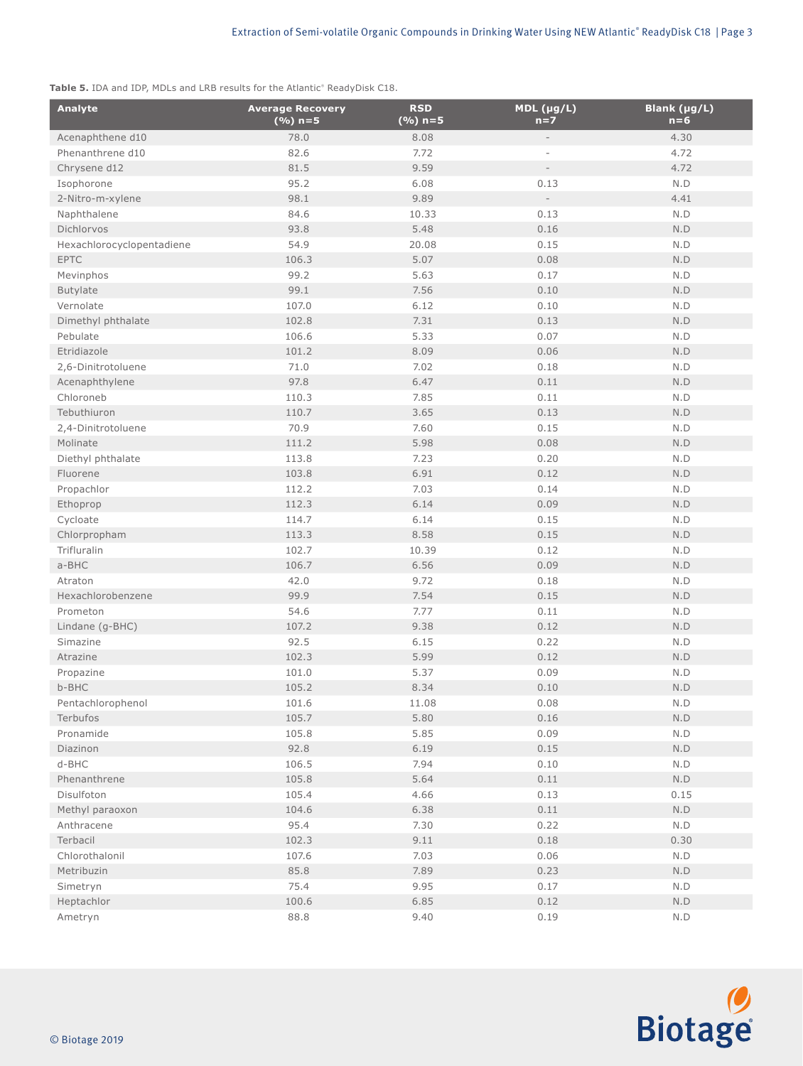**Table 5.** IDA and IDP, MDLs and LRB results for the Atlantic® ReadyDisk C18.

| Analyte                   | <b>Average Recovery</b><br>$(%) n=5$ | <b>RSD</b><br>$(%) n=5$ | $MDL$ (µg/L)<br>$n=7$    | Blank (µg/L)<br>$n = 6$ |
|---------------------------|--------------------------------------|-------------------------|--------------------------|-------------------------|
| Acenaphthene d10          | 78.0                                 | 8.08                    |                          | 4.30                    |
| Phenanthrene d10          | 82.6                                 | 7.72                    |                          | 4.72                    |
| Chrysene d12              | 81.5                                 | 9.59                    |                          | 4.72                    |
| Isophorone                | 95.2                                 | 6.08                    | 0.13                     | N.D                     |
| 2-Nitro-m-xylene          | 98.1                                 | 9.89                    | $\overline{\phantom{a}}$ | 4.41                    |
| Naphthalene               | 84.6                                 | 10.33                   | 0.13                     | $\mathsf{N}.\mathsf{D}$ |
| Dichlorvos                | 93.8                                 | 5.48                    | 0.16                     | $\mathsf{N}.\mathsf{D}$ |
| Hexachlorocyclopentadiene | 54.9                                 | 20.08                   | 0.15                     | $\mathsf{N}.\mathsf{D}$ |
| <b>EPTC</b>               | 106.3                                | 5.07                    | 0.08                     | $\mathsf{N}.\mathsf{D}$ |
| Mevinphos                 | 99.2                                 | 5.63                    | 0.17                     | $\mathsf{N}.\mathsf{D}$ |
| <b>Butylate</b>           | 99.1                                 | 7.56                    | 0.10                     | $\mathsf{N}.\mathsf{D}$ |
| Vernolate                 | 107.0                                | 6.12                    | 0.10                     | $\mathsf{N}.\mathsf{D}$ |
| Dimethyl phthalate        | 102.8                                | 7.31                    | 0.13                     | $\mathsf{N}.\mathsf{D}$ |
| Pebulate                  | 106.6                                | 5.33                    | 0.07                     | N.D                     |
| Etridiazole               | 101.2                                | 8.09                    | 0.06                     | N.D                     |
| 2,6-Dinitrotoluene        | 71.0                                 | 7.02                    | 0.18                     | $\mathsf{N}.\mathsf{D}$ |
| Acenaphthylene            | 97.8                                 | 6.47                    | 0.11                     | $\mathsf{N}.\mathsf{D}$ |
| Chloroneb                 | 110.3                                | 7.85                    | 0.11                     | $\mathsf{N}.\mathsf{D}$ |
| Tebuthiuron               | 110.7                                | 3.65                    | 0.13                     | $\mathsf{N}.\mathsf{D}$ |
| 2,4-Dinitrotoluene        | 70.9                                 | 7.60                    | 0.15                     | $\mathsf{N}.\mathsf{D}$ |
| Molinate                  | 111.2                                | 5.98                    | 0.08                     | $\mathsf{N}.\mathsf{D}$ |
| Diethyl phthalate         | 113.8                                | 7.23                    | 0.20                     | $\mathsf{N}.\mathsf{D}$ |
| Fluorene                  | 103.8                                | 6.91                    | 0.12                     | $\mathsf{N}.\mathsf{D}$ |
|                           |                                      |                         |                          |                         |
| Propachlor                | 112.2                                | 7.03<br>6.14            | 0.14                     | N.D                     |
| Ethoprop                  | 112.3                                |                         | 0.09                     | N.D                     |
| Cycloate                  | 114.7                                | 6.14                    | 0.15                     | $\mathsf{N}.\mathsf{D}$ |
| Chlorpropham              | 113.3                                | 8.58                    | 0.15                     | $\mathsf{N}.\mathsf{D}$ |
| Trifluralin               | 102.7                                | 10.39                   | 0.12                     | $\mathsf{N}.\mathsf{D}$ |
| a-BHC                     | 106.7                                | 6.56                    | 0.09                     | $\mathsf{N}.\mathsf{D}$ |
| Atraton                   | 42.0                                 | 9.72                    | 0.18                     | $\mathsf{N}.\mathsf{D}$ |
| Hexachlorobenzene         | 99.9                                 | 7.54                    | 0.15                     | $\mathsf{N}.\mathsf{D}$ |
| Prometon                  | 54.6                                 | 7.77                    | 0.11                     | N.D                     |
| Lindane (g-BHC)           | 107.2                                | 9.38                    | 0.12                     | N.D                     |
| Simazine                  | 92.5                                 | 6.15                    | 0.22                     | $\mathsf{N}.\mathsf{D}$ |
| Atrazine                  | 102.3                                | 5.99                    | 0.12                     | $\mathsf{N}.\mathsf{D}$ |
| Propazine                 | 101.0                                | 5.37                    | 0.09                     | $\mathsf{N}.\mathsf{D}$ |
| b-BHC                     | 105.2                                | 8.34                    | 0.10                     | N.D                     |
| Pentachlorophenol         | 101.6                                | 11.08                   | 0.08                     | $\mathsf{N}.\mathsf{D}$ |
| Terbufos                  | 105.7                                | 5.80                    | 0.16                     | $\mathsf{N}.\mathsf{D}$ |
| Pronamide                 | 105.8                                | 5.85                    | 0.09                     | $\mathsf{N}.\mathsf{D}$ |
| Diazinon                  | 92.8                                 | 6.19                    | 0.15                     | N.D                     |
| d-BHC                     | 106.5                                | 7.94                    | 0.10                     | N.D                     |
| Phenanthrene              | 105.8                                | 5.64                    | 0.11                     | N.D                     |
| Disulfoton                | 105.4                                | 4.66                    | 0.13                     | 0.15                    |
| Methyl paraoxon           | 104.6                                | 6.38                    | 0.11                     | $\mathsf{N}.\mathsf{D}$ |
| Anthracene                | 95.4                                 | 7.30                    | 0.22                     | N.D                     |
| Terbacil                  | 102.3                                | 9.11                    | 0.18                     | 0.30                    |
| Chlorothalonil            | 107.6                                | 7.03                    | 0.06                     | N.D                     |
| Metribuzin                | 85.8                                 | 7.89                    | 0.23                     | N.D                     |
| Simetryn                  | 75.4                                 | 9.95                    | 0.17                     | N.D                     |
| Heptachlor                | 100.6                                | 6.85                    | 0.12                     | N.D                     |
| Ametryn                   | 88.8                                 | 9.40                    | 0.19                     | $\mathsf{N}.\mathsf{D}$ |

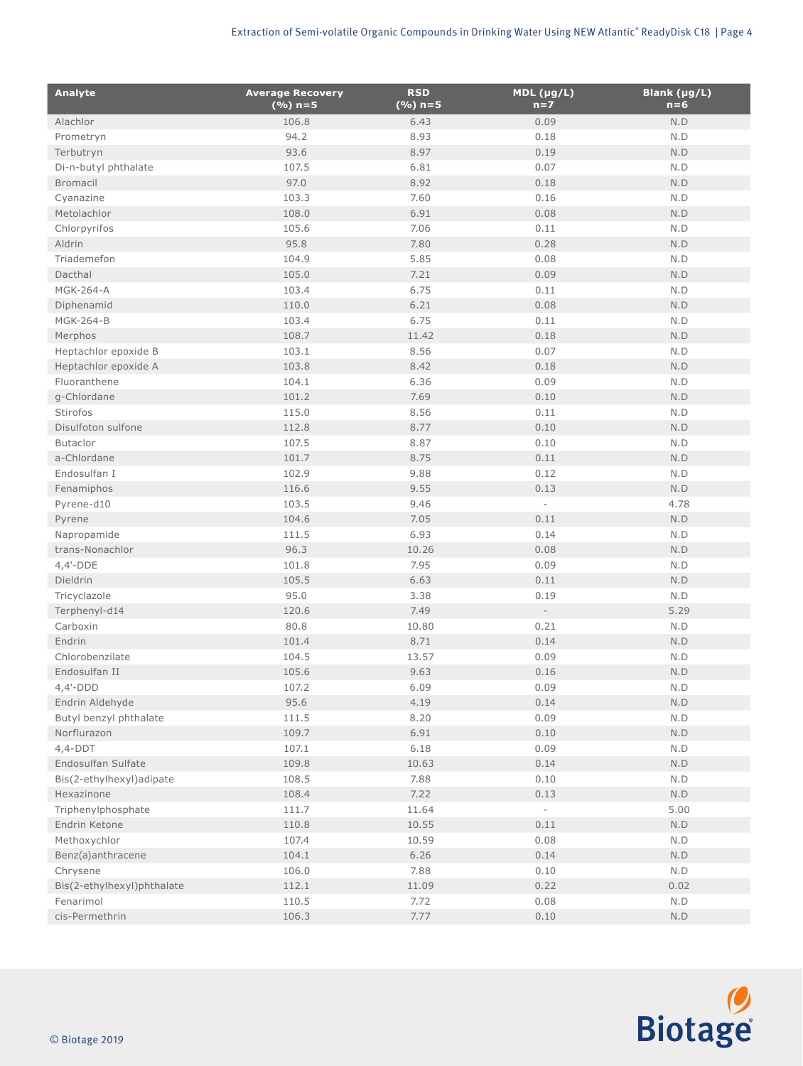| <b>Analyte</b>                       | <b>Average Recovery</b><br>$(%) n=5$ | <b>RSD</b><br>$(%) n=5$ | $MDL$ (µg/L)<br>$n=7$    | Blank (µg/L)<br>$n = 6$ |
|--------------------------------------|--------------------------------------|-------------------------|--------------------------|-------------------------|
| Alachlor                             | 106.8                                | 6.43                    | 0.09                     | N.D                     |
| Prometryn                            | 94.2                                 | 8.93                    | 0.18                     | N.D                     |
| Terbutryn                            | 93.6                                 | 8.97                    | 0.19                     | $\mathsf{N}.\mathsf{D}$ |
| Di-n-butyl phthalate                 | 107.5                                | 6.81                    | 0.07                     | $\mathsf{N}.\mathsf{D}$ |
| <b>Bromacil</b>                      | 97.0                                 | 8.92                    | 0.18                     | $\mathsf{N}.\mathsf{D}$ |
| Cyanazine                            | 103.3                                | 7.60                    | 0.16                     | N.D                     |
| Metolachlor                          | 108.0                                | 6.91                    | 0.08                     | N.D                     |
| Chlorpyrifos                         | 105.6                                | 7.06                    | 0.11                     | N.D                     |
| Aldrin                               | 95.8                                 | 7.80                    | 0.28                     | $\mathsf{N}.\mathsf{D}$ |
| Triademefon                          | 104.9                                | 5.85                    | 0.08                     | N.D                     |
| Dacthal                              | 105.0                                | 7.21                    | 0.09                     | N.D                     |
| <b>MGK-264-A</b>                     | 103.4                                | 6.75                    | 0.11                     | N.D                     |
| Diphenamid                           | 110.0                                | 6.21                    | 0.08                     | $\mathsf{N}.\mathsf{D}$ |
| <b>MGK-264-B</b>                     | 103.4                                | 6.75                    | 0.11                     | N.D                     |
| Merphos                              | 108.7                                | 11.42                   | 0.18                     | N.D                     |
| Heptachlor epoxide B                 | 103.1                                | 8.56                    | 0.07                     | N.D                     |
|                                      | 103.8                                | 8.42                    | 0.18                     | $\mathsf{N}.\mathsf{D}$ |
| Heptachlor epoxide A<br>Fluoranthene |                                      |                         |                          |                         |
|                                      | 104.1                                | 6.36                    | 0.09                     | N.D                     |
| g-Chlordane                          | 101.2                                | 7.69                    | 0.10                     | $\mathsf{N}.\mathsf{D}$ |
| Stirofos                             | 115.0                                | 8.56                    | 0.11                     | N.D                     |
| Disulfoton sulfone                   | 112.8                                | 8.77                    | 0.10                     | $\mathsf{N}.\mathsf{D}$ |
| <b>Butaclor</b>                      | 107.5                                | 8.87                    | 0.10                     | N.D                     |
| a-Chlordane                          | 101.7                                | 8.75                    | 0.11                     | $\mathsf{N}.\mathsf{D}$ |
| Endosulfan I                         | 102.9                                | 9.88                    | 0.12                     | N.D                     |
| Fenamiphos                           | 116.6                                | 9.55                    | 0.13                     | N.D                     |
| Pyrene-d10                           | 103.5                                | 9.46                    | $\overline{\phantom{a}}$ | 4.78                    |
| Pyrene                               | 104.6                                | 7.05                    | 0.11                     | N.D                     |
| Napropamide                          | 111.5                                | 6.93                    | 0.14                     | N.D                     |
| trans-Nonachlor                      | 96.3                                 | 10.26                   | 0.08                     | $\mathsf{N}.\mathsf{D}$ |
| $4,4'-DDE$                           | 101.8                                | 7.95                    | 0.09                     | N.D                     |
| Dieldrin                             | 105.5                                | 6.63                    | 0.11                     | $\mathsf{N}.\mathsf{D}$ |
| Tricyclazole                         | 95.0                                 | 3.38                    | 0.19                     | N.D                     |
| Terphenyl-d14                        | 120.6                                | 7.49                    | $\overline{\phantom{a}}$ | 5.29                    |
| Carboxin                             | 80.8                                 | 10.80                   | 0.21                     | N.D                     |
| Endrin                               | 101.4                                | 8.71                    | 0.14                     | $\mathsf{N}.\mathsf{D}$ |
| Chlorobenzilate                      | 104.5                                | 13.57                   | 0.09                     | $\mathsf{N}.\mathsf{D}$ |
| Endosulfan II                        | 105.6                                | 9.63                    | 0.16                     | N.D                     |
| $4,4'-DDD$                           | 107.2                                | 6.09                    | 0.09                     | $\mathsf{N}.\mathsf{D}$ |
| Endrin Aldehyde                      | 95.6                                 | 4.19                    | 0.14                     | N.D                     |
| Butyl benzyl phthalate               | 111.5                                | 8.20                    | 0.09                     | N.D                     |
| Norflurazon                          | 109.7                                | 6.91                    | 0.10                     | $\mathsf{N}.\mathsf{D}$ |
| $4,4-DDT$                            | 107.1                                | 6.18                    | 0.09                     | N.D                     |
| Endosulfan Sulfate                   | 109.8                                | 10.63                   | 0.14                     | $\mathsf{N}.\mathsf{D}$ |
| Bis(2-ethylhexyl)adipate             | 108.5                                | 7.88                    | 0.10                     | N.D                     |
| Hexazinone                           | 108.4                                | 7.22                    | 0.13                     | $\mathsf{N}.\mathsf{D}$ |
| Triphenylphosphate                   | 111.7                                | 11.64                   | $\sim$                   | 5.00                    |
| Endrin Ketone                        | 110.8                                | 10.55                   | 0.11                     | N.D                     |
| Methoxychlor                         | 107.4                                | 10.59                   | 0.08                     | N.D                     |
|                                      | 104.1                                | 6.26                    | 0.14                     | $\mathsf{N}.\mathsf{D}$ |
| Benz(a)anthracene                    | 106.0                                | 7.88                    | 0.10                     | N.D                     |
| Chrysene                             |                                      |                         |                          |                         |
| Bis(2-ethylhexyl)phthalate           | 112.1                                | 11.09                   | 0.22                     | 0.02                    |
| Fenarimol                            | 110.5                                | 7.72                    | 0.08                     | N.D                     |
| cis-Permethrin                       | 106.3                                | 7.77                    | 0.10                     | N.D                     |